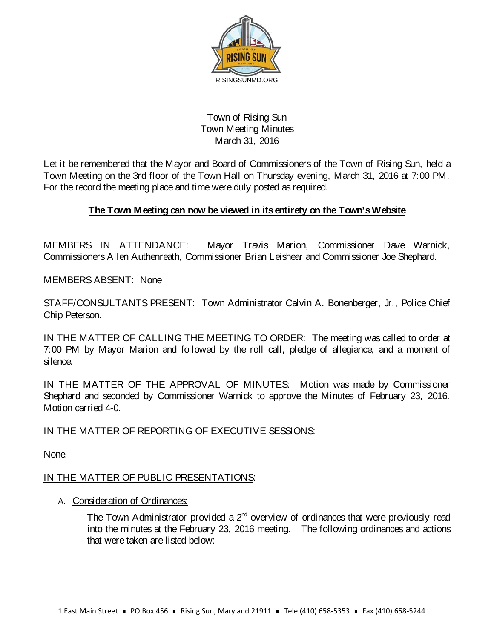

## Town of Rising Sun Town Meeting Minutes March 31, 2016

Let it be remembered that the Mayor and Board of Commissioners of the Town of Rising Sun, held a Town Meeting on the 3rd floor of the Town Hall on Thursday evening, March 31, 2016 at 7:00 PM. For the record the meeting place and time were duly posted as required.

# **The Town Meeting can now be viewed in its entirety on the Town's Website**

MEMBERS IN ATTENDANCE: Mayor Travis Marion, Commissioner Dave Warnick, Commissioners Allen Authenreath, Commissioner Brian Leishear and Commissioner Joe Shephard.

MEMBERS ABSENT: None

STAFF/CONSULTANTS PRESENT: Town Administrator Calvin A. Bonenberger, Jr., Police Chief Chip Peterson.

IN THE MATTER OF CALLING THE MEETING TO ORDER: The meeting was called to order at 7:00 PM by Mayor Marion and followed by the roll call, pledge of allegiance, and a moment of silence.

IN THE MATTER OF THE APPROVAL OF MINUTES: Motion was made by Commissioner Shephard and seconded by Commissioner Warnick to approve the Minutes of February 23, 2016. Motion carried 4-0.

## IN THE MATTER OF REPORTING OF EXECUTIVE SESSIONS:

None.

## IN THE MATTER OF PUBLIC PRESENTATIONS:

### A. Consideration of Ordinances:

The Town Administrator provided a  $2^{nd}$  overview of ordinances that were previously read into the minutes at the February 23, 2016 meeting. The following ordinances and actions that were taken are listed below: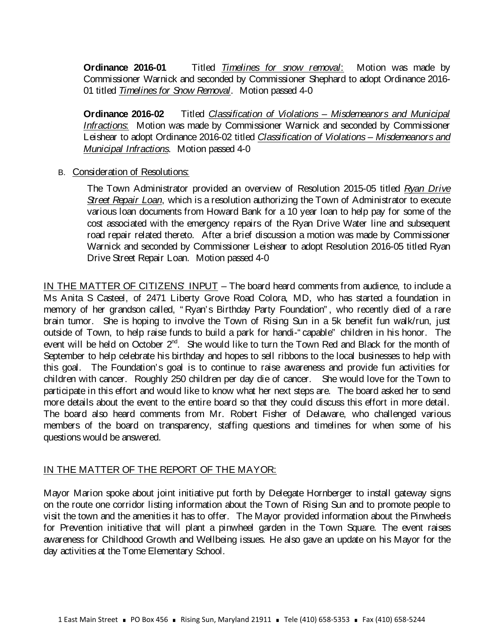**Ordinance 2016-01** Titled *Timelines for snow removal*: Motion was made by Commissioner Warnick and seconded by Commissioner Shephard to adopt Ordinance 2016- 01 titled *Timelines for Snow Removal*. Motion passed 4-0

**Ordinance 2016-02** Titled *Classification of Violations – Misdemeanors and Municipal Infractions*: Motion was made by Commissioner Warnick and seconded by Commissioner Leishear to adopt Ordinance 2016-02 titled *Classification of Violations – Misdemeanors and Municipal Infractions*. Motion passed 4-0

#### B. Consideration of Resolutions:

The Town Administrator provided an overview of Resolution 2015-05 titled *Ryan Drive Street Repair Loan*, which is a resolution authorizing the Town of Administrator to execute various loan documents from Howard Bank for a 10 year loan to help pay for some of the cost associated with the emergency repairs of the Ryan Drive Water line and subsequent road repair related thereto. After a brief discussion a motion was made by Commissioner Warnick and seconded by Commissioner Leishear to adopt Resolution 2016-05 titled Ryan Drive Street Repair Loan. Motion passed 4-0

IN THE MATTER OF CITIZENS' INPUT – The board heard comments from audience, to include a Ms Anita S Casteel, of 2471 Liberty Grove Road Colora, MD, who has started a foundation in memory of her grandson called, " Ryan's Birthday Party Foundation" , who recently died of a rare brain tumor. She is hoping to involve the Town of Rising Sun in a 5k benefit fun walk/run, just outside of Town, to help raise funds to build a park for handi-" capable" children in his honor. The event will be held on October 2<sup>nd</sup>. She would like to turn the Town Red and Black for the month of September to help celebrate his birthday and hopes to sell ribbons to the local businesses to help with this goal. The Foundation's goal is to continue to raise awareness and provide fun activities for children with cancer. Roughly 250 children per day die of cancer. She would love for the Town to participate in this effort and would like to know what her next steps are. The board asked her to send more details about the event to the entire board so that they could discuss this effort in more detail. The board also heard comments from Mr. Robert Fisher of Delaware, who challenged various members of the board on transparency, staffing questions and timelines for when some of his questions would be answered.

### IN THE MATTER OF THE REPORT OF THE MAYOR:

Mayor Marion spoke about joint initiative put forth by Delegate Hornberger to install gateway signs on the route one corridor listing information about the Town of Rising Sun and to promote people to visit the town and the amenities it has to offer. The Mayor provided information about the Pinwheels for Prevention initiative that will plant a pinwheel garden in the Town Square. The event raises awareness for Childhood Growth and Wellbeing issues. He also gave an update on his Mayor for the day activities at the Tome Elementary School.